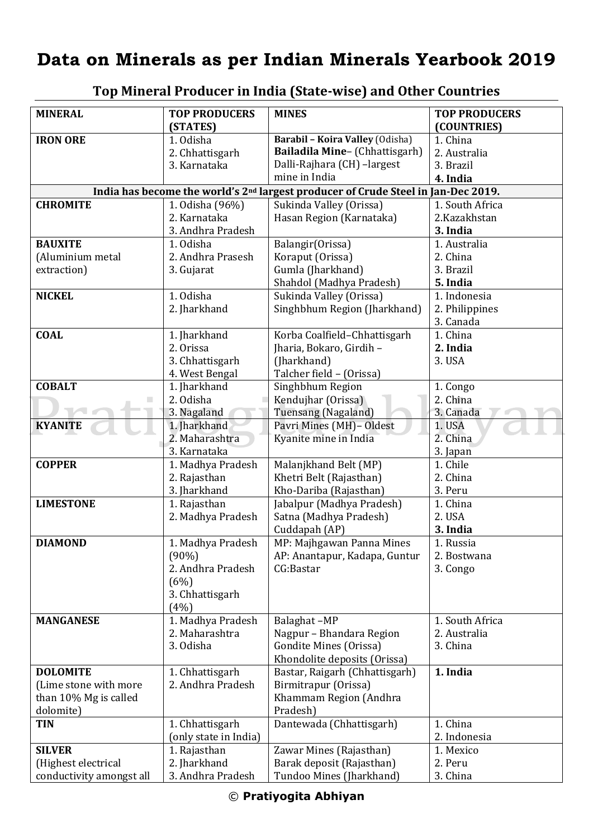## **Data on Minerals as per Indian Minerals Yearbook 2019**

| <b>MINERAL</b>                                                                                          | <b>TOP PRODUCERS</b><br>(STATES) | <b>MINES</b>                                         | <b>TOP PRODUCERS</b><br>(COUNTRIES) |  |
|---------------------------------------------------------------------------------------------------------|----------------------------------|------------------------------------------------------|-------------------------------------|--|
| <b>IRON ORE</b>                                                                                         | 1. Odisha                        | Barabil - Koira Valley (Odisha)                      | 1. China                            |  |
|                                                                                                         | 2. Chhattisgarh                  | Bailadila Mine- (Chhattisgarh)                       | 2. Australia                        |  |
|                                                                                                         | 3. Karnataka                     | Dalli-Rajhara (CH) -largest                          | 3. Brazil                           |  |
|                                                                                                         |                                  | mine in India                                        | 4. India                            |  |
| India has become the world's 2 <sup>nd</sup> largest producer of Crude Steel in<br><b>Jan-Dec 2019.</b> |                                  |                                                      |                                     |  |
| <b>CHROMITE</b>                                                                                         | 1. Odisha (96%)                  | Sukinda Valley (Orissa)                              | 1. South Africa                     |  |
|                                                                                                         | 2. Karnataka                     | Hasan Region (Karnataka)                             | 2.Kazakhstan                        |  |
|                                                                                                         | 3. Andhra Pradesh                |                                                      | 3. India                            |  |
| <b>BAUXITE</b>                                                                                          | 1. Odisha                        | Balangir(Orissa)                                     | 1. Australia                        |  |
| (Aluminium metal                                                                                        | 2. Andhra Prasesh                | Koraput (Orissa)                                     | 2. China                            |  |
| extraction)                                                                                             | 3. Gujarat                       | Gumla (Jharkhand)                                    | 3. Brazil                           |  |
|                                                                                                         |                                  | Shahdol (Madhya Pradesh)                             | 5. India                            |  |
| <b>NICKEL</b>                                                                                           | 1. Odisha                        | Sukinda Valley (Orissa)                              | 1. Indonesia                        |  |
|                                                                                                         | 2. Jharkhand                     | Singhbhum Region (Jharkhand)                         | 2. Philippines                      |  |
|                                                                                                         |                                  |                                                      | 3. Canada                           |  |
| <b>COAL</b>                                                                                             | 1. Jharkhand                     | Korba Coalfield-Chhattisgarh                         | 1. China                            |  |
|                                                                                                         | 2. Orissa                        | Jharia, Bokaro, Girdih -                             | 2. India                            |  |
|                                                                                                         | 3. Chhattisgarh                  | (Jharkhand)                                          | 3. USA                              |  |
|                                                                                                         | 4. West Bengal                   | Talcher field - (Orissa)                             |                                     |  |
| <b>COBALT</b>                                                                                           | 1. Jharkhand                     | Singhbhum Region                                     | 1. Congo                            |  |
| п                                                                                                       | 2. Odisha                        | Kendujhar (Orissa)                                   | 2. China                            |  |
|                                                                                                         | 3. Nagaland                      | Tuensang (Nagaland)                                  | 3. Canada                           |  |
| <b>KYANITE</b>                                                                                          | 1. Jharkhand<br>2. Maharashtra   | Pavri Mines (MH)-Oldest                              | 1. USA<br>2. China                  |  |
|                                                                                                         | 3. Karnataka                     | Kyanite mine in India                                | 3. Japan                            |  |
| <b>COPPER</b>                                                                                           | 1. Madhya Pradesh                | Malanjkhand Belt (MP)                                | 1. Chile                            |  |
|                                                                                                         | 2. Rajasthan                     | Khetri Belt (Rajasthan)                              | 2. China                            |  |
|                                                                                                         | 3. Jharkhand                     | Kho-Dariba (Rajasthan)                               | 3. Peru                             |  |
| <b>LIMESTONE</b>                                                                                        | 1. Rajasthan                     | Jabalpur (Madhya Pradesh)                            | 1. China                            |  |
|                                                                                                         | 2. Madhya Pradesh                | Satna (Madhya Pradesh)                               | 2. USA                              |  |
|                                                                                                         |                                  | Cuddapah (AP)                                        | 3. India                            |  |
| <b>DIAMOND</b>                                                                                          | 1. Madhya Pradesh                | MP: Majhgawan Panna Mines                            | 1. Russia                           |  |
|                                                                                                         | $(90\%)$                         | AP: Anantapur, Kadapa, Guntur                        | 2. Bostwana                         |  |
|                                                                                                         | 2. Andhra Pradesh                | CG:Bastar                                            | 3. Congo                            |  |
|                                                                                                         | (6%)                             |                                                      |                                     |  |
|                                                                                                         | 3. Chhattisgarh                  |                                                      |                                     |  |
|                                                                                                         | (4%)                             |                                                      |                                     |  |
| <b>MANGANESE</b>                                                                                        | 1. Madhya Pradesh                | Balaghat-MP                                          | 1. South Africa                     |  |
|                                                                                                         | 2. Maharashtra                   | Nagpur - Bhandara Region                             | 2. Australia                        |  |
|                                                                                                         | 3. Odisha                        | Gondite Mines (Orissa)                               | 3. China                            |  |
|                                                                                                         |                                  | Khondolite deposits (Orissa)                         |                                     |  |
| <b>DOLOMITE</b>                                                                                         | 1. Chhattisgarh                  | Bastar, Raigarh (Chhattisgarh)                       | 1. India                            |  |
| (Lime stone with more                                                                                   | 2. Andhra Pradesh                | Birmitrapur (Orissa)                                 |                                     |  |
| than 10% Mg is called                                                                                   |                                  | Khammam Region (Andhra                               |                                     |  |
| dolomite)                                                                                               |                                  | Pradesh)                                             |                                     |  |
| <b>TIN</b>                                                                                              | 1. Chhattisgarh                  | Dantewada (Chhattisgarh)                             | 1. China                            |  |
|                                                                                                         | (only state in India)            |                                                      | 2. Indonesia<br>1. Mexico           |  |
| <b>SILVER</b><br>(Highest electrical                                                                    | 1. Rajasthan<br>2. Jharkhand     | Zawar Mines (Rajasthan)<br>Barak deposit (Rajasthan) | 2. Peru                             |  |
| conductivity amongst all                                                                                | 3. Andhra Pradesh                | Tundoo Mines (Jharkhand)                             | 3. China                            |  |
|                                                                                                         |                                  |                                                      |                                     |  |

## **Top Mineral Producer in India (State-wise) and Other Countries**